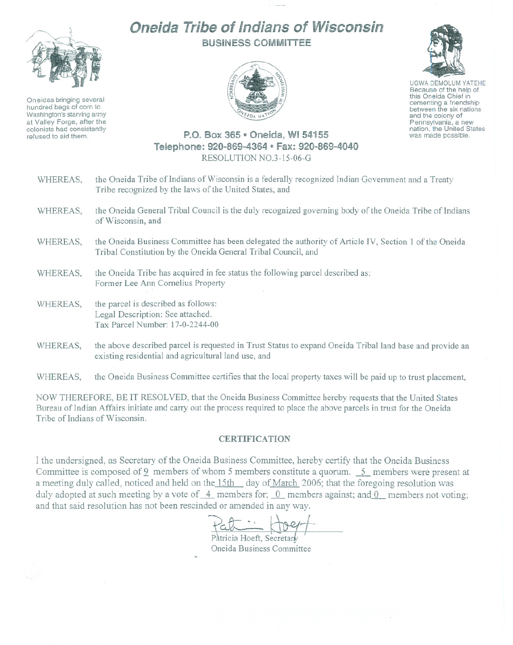## Oneida Tribe of Indians of Wisconsin BUSINESS COMMITTEE



Oneidas bringing several hundred bags of corn to Washington's starving army at Valley Forge, after the colonists had consistently refused to aid them.





UGWA DEMOLUM YATEHE Because of the help of this Oneida Chief in<br>cementing a friendship between the six nations and the colony of<br>Pennsylvania, a new nation, the United States was made possible.

## P.O. Box 365 ~Oneida, **WI** 54155 Telephone: 920-869-4364 ~ Fax: 920-869-4040 RESOLUTION N0.3-15-06-G

| WHEREAS, | the Oneida Tribe of Indians of Wisconsin is a federally recognized Indian Government and a Treaty<br>Tribe recognized by the laws of the United States, and            |
|----------|------------------------------------------------------------------------------------------------------------------------------------------------------------------------|
| WHEREAS, | the Oneida General Tribal Council is the duly recognized governing body of the Oneida Tribe of Indians<br>of Wisconsin, and                                            |
| WHEREAS, | the Oneida Business Committee has been delegated the authority of Article IV, Section 1 of the Oneida<br>Tribal Constitution by the Oneida General Tribal Council, and |
| WHEREAS, | the Oneida Tribe has acquired in fee status the following parcel described as:<br>Former Lee Ann Cornelius Property                                                    |
| WHEREAS, | the parcel is described as follows:<br>Legal Description: See attached.<br>Tax Parcel Number: 17-0-2244-00                                                             |
| WHEREAS, | the above described parcel is requested in Trust Status to expand Oneida Tribal land base and provide an<br>existing residential and agricultural land use, and        |

WHEREAS, the Oneida Business Committee certifies that the local property taxes will be paid up to trust placement,

NOW THEREFORE, BE IT RESOLVED, that the Oneida Business Committee hereby requests that the United States Bureau of Indian Affairs initiate and carry out the process required to place the above parcels in trust for the Oneida Tribe of Indians of Wisconsin.

## CERTIFICATION

I the undersigned, as Secretary of the Oneida Business Committee, hereby certify that the Oneida Business Committee is composed of 9 members of whom 5 members constitute a quorum. 5 members were present at a meeting duly called, noticed and held on the 15th day of March 2006; that the foregoing resolution was duly adopted at such meeting by a vote of  $-4$  members for;  $0$  members against; and  $0$  members not voting; and that said resolution has not been rescinded or amended in any way.

Pat : Hoer

Patricia Hoeft, Secretar Oneida Business Committee